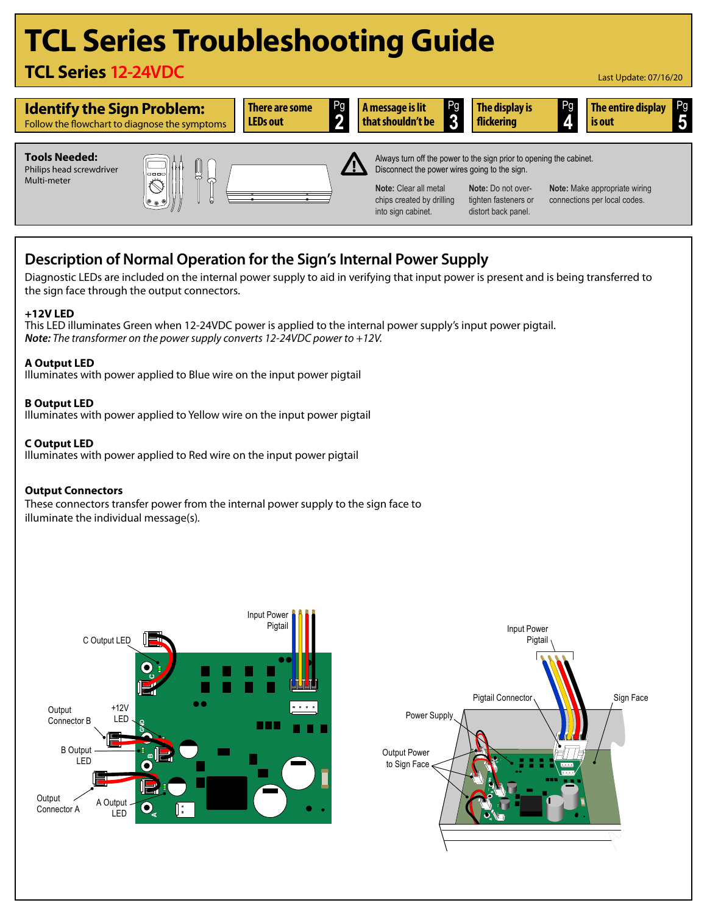# **TCL Series Troubleshooting Guide**

## **TCL Series 12-24VDC**





### **Description of Normal Operation for the Sign's Internal Power Supply**

Diagnostic LEDs are included on the internal power supply to aid in verifying that input power is present and is being transferred to the sign face through the output connectors.

### **+12V LED**

This LED illuminates Green when 12-24VDC power is applied to the internal power supply's input power pigtail. *Note: The transformer on the power supply converts 12-24VDC power to +12V.*

### **A Output LED**

Illuminates with power applied to Blue wire on the input power pigtail

#### **B Output LED**

Illuminates with power applied to Yellow wire on the input power pigtail

### **C Output LED**

Illuminates with power applied to Red wire on the input power pigtail

### **Output Connectors**

These connectors transfer power from the internal power supply to the sign face to illuminate the individual message(s)*.*



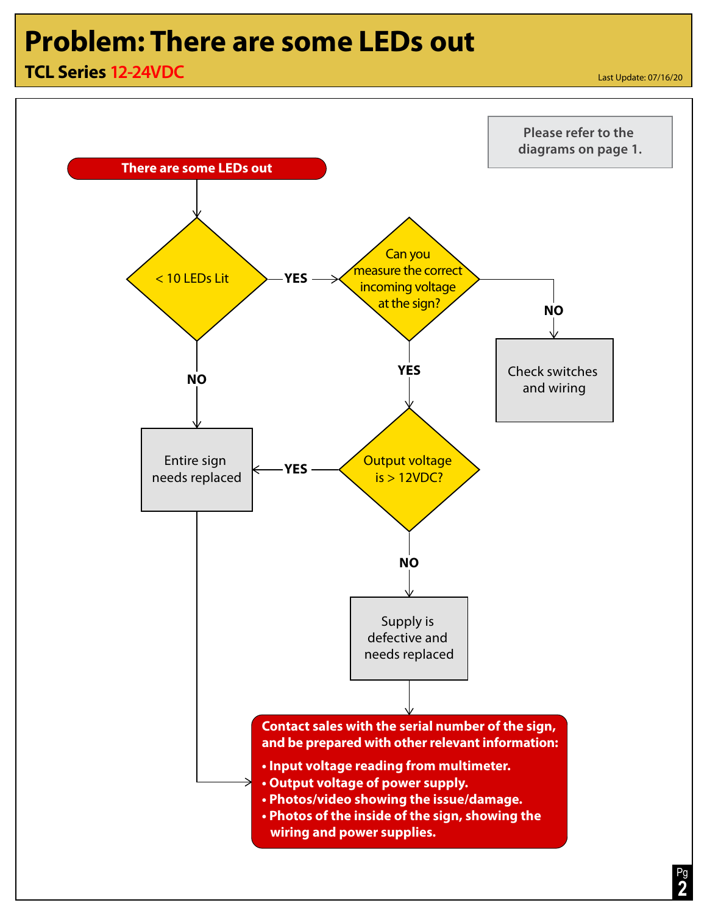## **Problem: There are some LEDs out**

## **TCL Series 12-24VDC**

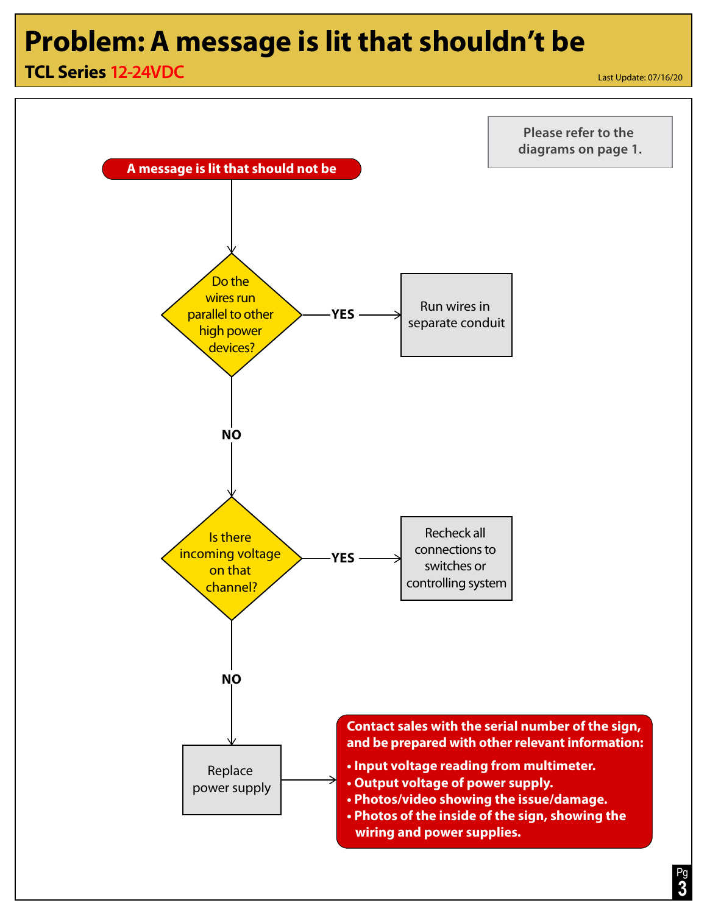## **Problem:A message is lit that shouldn't be**

## **TCL Series 12-24VDC**

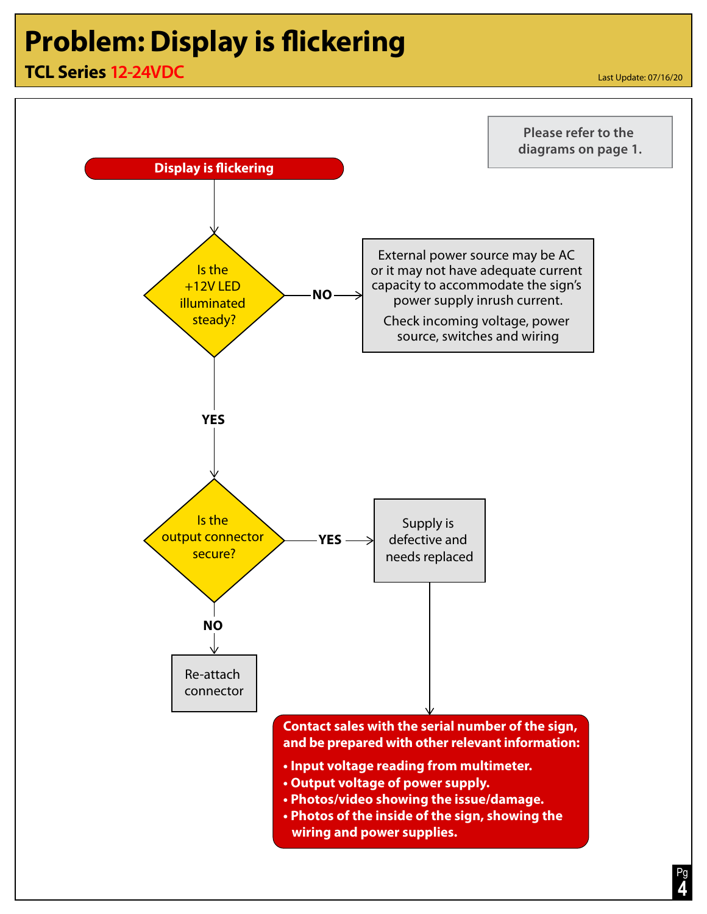# **Problem: Display is flickering**

## **TCL Series 12-24VDC**